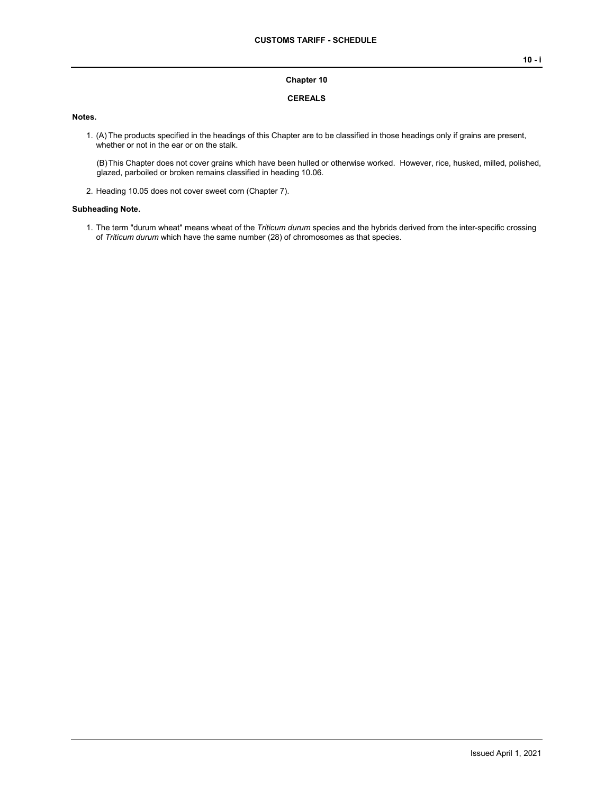#### **Chapter 10**

## **CEREALS**

## **Notes.**

1. (A) The products specified in the headings of this Chapter are to be classified in those headings only if grains are present, whether or not in the ear or on the stalk.

(B)This Chapter does not cover grains which have been hulled or otherwise worked. However, rice, husked, milled, polished, glazed, parboiled or broken remains classified in heading 10.06.

2. Heading 10.05 does not cover sweet corn (Chapter 7).

#### **Subheading Note.**

1. The term "durum wheat" means wheat of the *Triticum durum* species and the hybrids derived from the inter-specific crossing of *Triticum durum* which have the same number (28) of chromosomes as that species.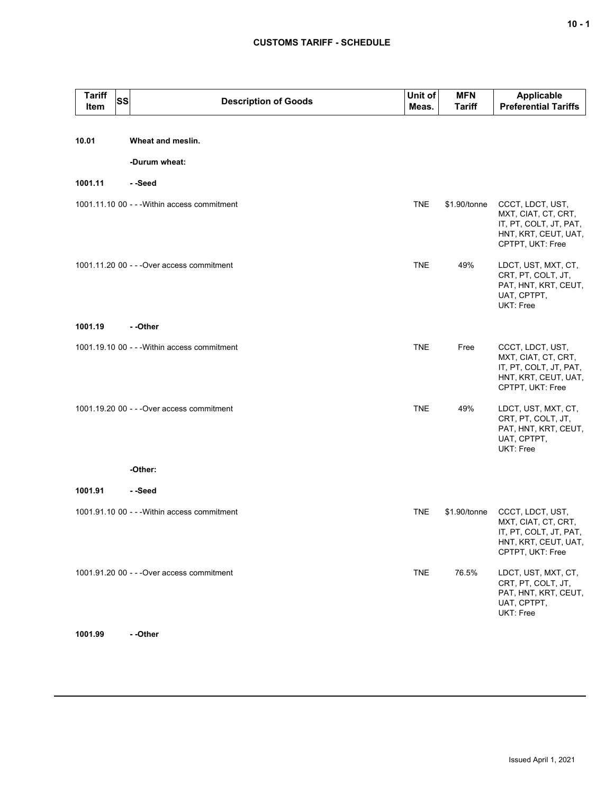# **CUSTOMS TARIFF - SCHEDULE**

| <b>Tariff</b><br>Item | SS | <b>Description of Goods</b>                  | Unit of<br>Meas. | <b>MFN</b><br><b>Tariff</b> | <b>Applicable</b><br><b>Preferential Tariffs</b>                                                              |
|-----------------------|----|----------------------------------------------|------------------|-----------------------------|---------------------------------------------------------------------------------------------------------------|
| 10.01                 |    | Wheat and meslin.                            |                  |                             |                                                                                                               |
|                       |    | -Durum wheat:                                |                  |                             |                                                                                                               |
|                       |    |                                              |                  |                             |                                                                                                               |
| 1001.11               |    | - -Seed                                      |                  |                             |                                                                                                               |
|                       |    | 1001.11.10 00 - - - Within access commitment | <b>TNE</b>       | \$1.90/tonne                | CCCT, LDCT, UST,<br>MXT, CIAT, CT, CRT,<br>IT, PT, COLT, JT, PAT,<br>HNT, KRT, CEUT, UAT,<br>CPTPT, UKT: Free |
|                       |    | 1001.11.20 00 - - - Over access commitment   | <b>TNE</b>       | 49%                         | LDCT, UST, MXT, CT,<br>CRT, PT, COLT, JT,<br>PAT, HNT, KRT, CEUT,<br>UAT, CPTPT,<br>UKT: Free                 |
| 1001.19               |    | - -Other                                     |                  |                             |                                                                                                               |
|                       |    | 1001.19.10 00 - - - Within access commitment | <b>TNE</b>       | Free                        | CCCT, LDCT, UST,<br>MXT, CIAT, CT, CRT,<br>IT, PT, COLT, JT, PAT,<br>HNT, KRT, CEUT, UAT,<br>CPTPT, UKT: Free |
|                       |    | 1001.19.20 00 - - - Over access commitment   | <b>TNE</b>       | 49%                         | LDCT, UST, MXT, CT,<br>CRT, PT, COLT, JT,<br>PAT, HNT, KRT, CEUT,<br>UAT, CPTPT,<br>UKT: Free                 |
|                       |    | -Other:                                      |                  |                             |                                                                                                               |
| 1001.91               |    | - -Seed                                      |                  |                             |                                                                                                               |
|                       |    | 1001.91.10 00 - - - Within access commitment | <b>TNE</b>       | \$1.90/tonne                | CCCT, LDCT, UST,<br>MXT, CIAT, CT, CRT,<br>IT, PT, COLT, JT, PAT,<br>HNT, KRT, CEUT, UAT,<br>CPTPT, UKT: Free |
|                       |    | 1001.91.20 00 - - - Over access commitment   | <b>TNE</b>       | 76.5%                       | LDCT, UST, MXT, CT,<br>CRT, PT, COLT, JT,<br>PAT, HNT, KRT, CEUT,<br>UAT, CPTPT,<br>UKT: Free                 |
|                       |    |                                              |                  |                             |                                                                                                               |

**1001.99 - -Other**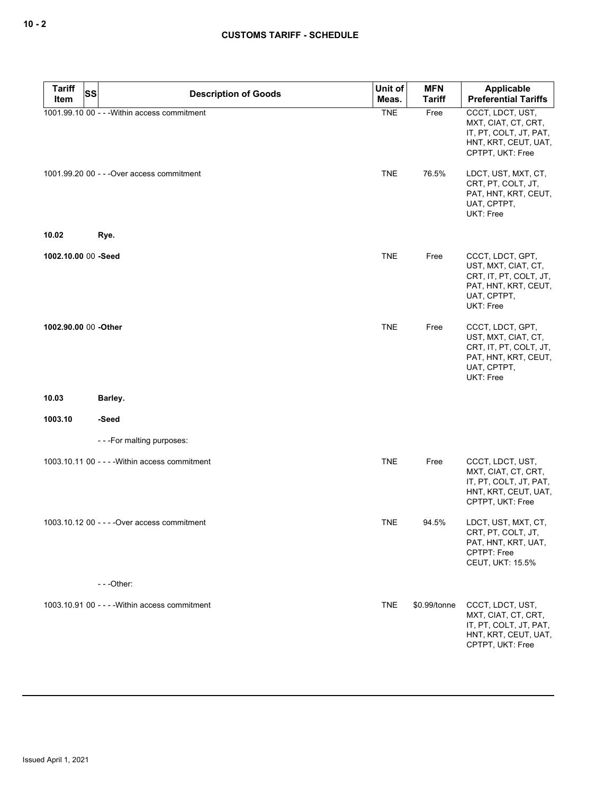| <b>Tariff</b>        | <b>SS</b><br><b>Description of Goods</b>       | Unit of    | <b>MFN</b>    | Applicable                                                                                                            |
|----------------------|------------------------------------------------|------------|---------------|-----------------------------------------------------------------------------------------------------------------------|
| Item                 |                                                | Meas.      | <b>Tariff</b> | <b>Preferential Tariffs</b>                                                                                           |
|                      | 1001.99.10 00 - - - Within access commitment   | <b>TNE</b> | Free          | CCCT, LDCT, UST,<br>MXT, CIAT, CT, CRT,<br>IT, PT, COLT, JT, PAT,<br>HNT, KRT, CEUT, UAT,<br>CPTPT, UKT: Free         |
|                      | 1001.99.20 00 - - - Over access commitment     | <b>TNE</b> | 76.5%         | LDCT, UST, MXT, CT,<br>CRT, PT, COLT, JT,<br>PAT, HNT, KRT, CEUT,<br>UAT, CPTPT,<br>UKT: Free                         |
| 10.02                | Rye.                                           |            |               |                                                                                                                       |
| 1002.10.00 00 -Seed  |                                                | <b>TNE</b> | Free          | CCCT, LDCT, GPT,<br>UST, MXT, CIAT, CT,<br>CRT, IT, PT, COLT, JT,<br>PAT, HNT, KRT, CEUT,<br>UAT, CPTPT,<br>UKT: Free |
| 1002.90.00 00 -Other |                                                | <b>TNE</b> | Free          | CCCT, LDCT, GPT,<br>UST, MXT, CIAT, CT,<br>CRT, IT, PT, COLT, JT,<br>PAT, HNT, KRT, CEUT,<br>UAT, CPTPT,<br>UKT: Free |
| 10.03                | Barley.                                        |            |               |                                                                                                                       |
| 1003.10              | -Seed                                          |            |               |                                                                                                                       |
|                      | ---For malting purposes:                       |            |               |                                                                                                                       |
|                      | 1003.10.11 00 - - - - Within access commitment | <b>TNE</b> | Free          | CCCT, LDCT, UST,<br>MXT, CIAT, CT, CRT,<br>IT, PT, COLT, JT, PAT,<br>HNT, KRT, CEUT, UAT,<br>CPTPT, UKT: Free         |
|                      | 1003.10.12 00 - - - - Over access commitment   | <b>TNE</b> | 94.5%         | LDCT, UST, MXT, CT,<br>CRT, PT, COLT, JT,<br>PAT, HNT, KRT, UAT,<br>CPTPT: Free<br><b>CEUT, UKT: 15.5%</b>            |
|                      | $- -$ Other:                                   |            |               |                                                                                                                       |
|                      | 1003.10.91 00 - - - - Within access commitment | <b>TNE</b> | \$0.99/tonne  | CCCT, LDCT, UST,<br>MXT, CIAT, CT, CRT,<br>IT, PT, COLT, JT, PAT,<br>HNT, KRT, CEUT, UAT,<br>CPTPT, UKT: Free         |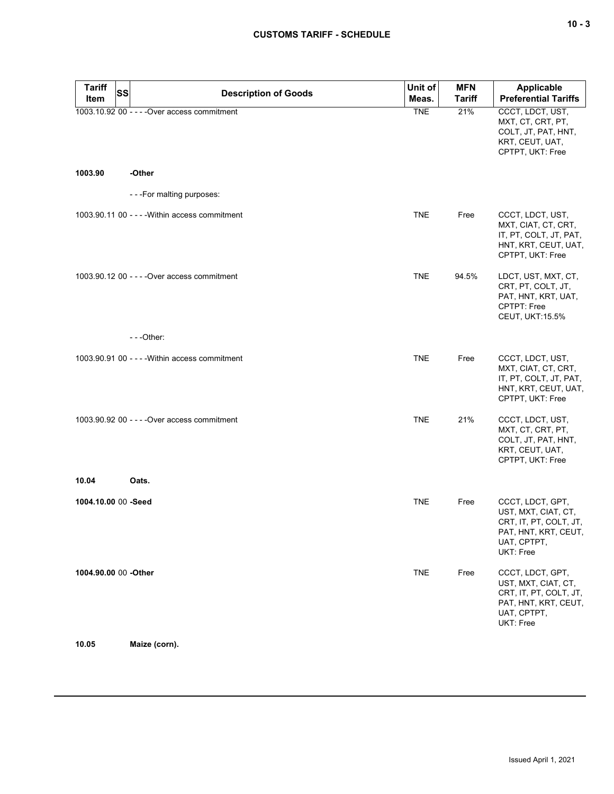| <b>Tariff</b><br><b>SS</b> |                                                | Unit of    | <b>MFN</b>    | <b>Applicable</b>                                                                                                     |
|----------------------------|------------------------------------------------|------------|---------------|-----------------------------------------------------------------------------------------------------------------------|
| Item                       | <b>Description of Goods</b>                    | Meas.      | <b>Tariff</b> | <b>Preferential Tariffs</b>                                                                                           |
|                            | 1003.10.92 00 - - - - Over access commitment   | <b>TNE</b> | 21%           | CCCT, LDCT, UST,<br>MXT, CT, CRT, PT,<br>COLT, JT, PAT, HNT,<br>KRT, CEUT, UAT,<br>CPTPT, UKT: Free                   |
| 1003.90                    | -Other                                         |            |               |                                                                                                                       |
|                            | ---For malting purposes:                       |            |               |                                                                                                                       |
|                            | 1003.90.11 00 - - - - Within access commitment | <b>TNE</b> | Free          | CCCT, LDCT, UST,<br>MXT, CIAT, CT, CRT,<br>IT, PT, COLT, JT, PAT,<br>HNT, KRT, CEUT, UAT,<br>CPTPT, UKT: Free         |
|                            | 1003.90.12 00 - - - - Over access commitment   | <b>TNE</b> | 94.5%         | LDCT, UST, MXT, CT,<br>CRT, PT, COLT, JT,<br>PAT, HNT, KRT, UAT,<br><b>CPTPT: Free</b><br><b>CEUT, UKT:15.5%</b>      |
|                            | $- -$ Other:                                   |            |               |                                                                                                                       |
|                            | 1003.90.91 00 - - - - Within access commitment | <b>TNE</b> | Free          | CCCT, LDCT, UST,<br>MXT, CIAT, CT, CRT,<br>IT, PT, COLT, JT, PAT,<br>HNT, KRT, CEUT, UAT,<br>CPTPT, UKT: Free         |
|                            | 1003.90.92 00 - - - - Over access commitment   | <b>TNE</b> | 21%           | CCCT, LDCT, UST,<br>MXT, CT, CRT, PT,<br>COLT, JT, PAT, HNT,<br>KRT, CEUT, UAT,<br>CPTPT, UKT: Free                   |
| 10.04                      | Oats.                                          |            |               |                                                                                                                       |
| 1004.10.00 00 -Seed        |                                                | <b>TNE</b> | Free          | CCCT, LDCT, GPT,<br>UST, MXT, CIAT, CT,<br>CRT, IT, PT, COLT, JT,<br>PAT, HNT, KRT, CEUT,<br>UAT, CPTPT,<br>UKT: Free |
| 1004.90.00 00 -Other       |                                                | <b>TNE</b> | Free          | CCCT, LDCT, GPT,<br>UST, MXT, CIAT, CT,<br>CRT, IT, PT, COLT, JT,<br>PAT, HNT, KRT, CEUT,<br>UAT, CPTPT,<br>UKT: Free |

**10.05 Maize (corn).**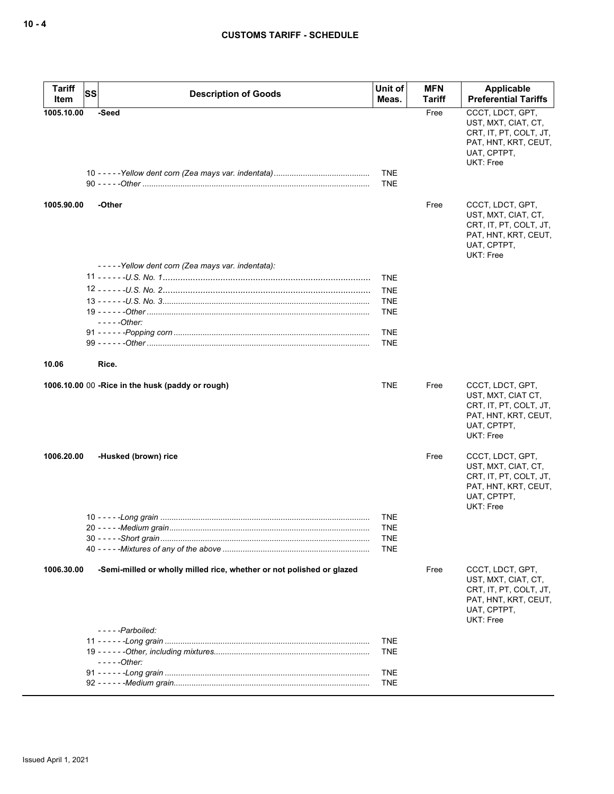| <b>Tariff</b><br><b>SS</b><br>Item | <b>Description of Goods</b>                                           | Unit of<br>Meas.                              | <b>MFN</b><br>Tariff | Applicable<br><b>Preferential Tariffs</b>                                                                                    |
|------------------------------------|-----------------------------------------------------------------------|-----------------------------------------------|----------------------|------------------------------------------------------------------------------------------------------------------------------|
| 1005.10.00                         | -Seed                                                                 | <b>TNE</b><br><b>TNE</b>                      | Free                 | CCCT. LDCT. GPT.<br>UST, MXT, CIAT, CT,<br>CRT, IT, PT, COLT, JT,<br>PAT, HNT, KRT, CEUT,<br>UAT, CPTPT,<br><b>UKT: Free</b> |
| 1005.90.00                         | -Other                                                                |                                               | Free                 | CCCT, LDCT, GPT,<br>UST, MXT, CIAT, CT,<br>CRT, IT, PT, COLT, JT,<br>PAT, HNT, KRT, CEUT,<br>UAT, CPTPT,<br><b>UKT: Free</b> |
|                                    | -----Yellow dent corn (Zea mays var. indentata):                      | <b>TNE</b><br><b>TNE</b><br><b>TNE</b>        |                      |                                                                                                                              |
|                                    | - - - - - Other:                                                      | <b>TNE</b><br><b>TNE</b><br><b>TNE</b>        |                      |                                                                                                                              |
| 10.06                              | Rice.                                                                 |                                               |                      |                                                                                                                              |
|                                    | 1006.10.00 00 - Rice in the husk (paddy or rough)                     | <b>TNE</b>                                    | Free                 | CCCT, LDCT, GPT,<br>UST, MXT, CIAT CT,<br>CRT, IT, PT, COLT, JT,<br>PAT, HNT, KRT, CEUT,<br>UAT, CPTPT,<br>UKT: Free         |
| 1006.20.00                         | -Husked (brown) rice                                                  |                                               | Free                 | CCCT, LDCT, GPT,<br>UST, MXT, CIAT, CT,<br>CRT, IT, PT, COLT, JT,<br>PAT, HNT, KRT, CEUT,<br>UAT, CPTPT,<br><b>UKT: Free</b> |
|                                    |                                                                       | <b>TNE</b><br><b>TNE</b><br>TNE<br><b>TNE</b> |                      |                                                                                                                              |
| 1006.30.00                         | -Semi-milled or wholly milled rice, whether or not polished or glazed |                                               | Free                 | CCCT, LDCT, GPT,<br>UST, MXT, CIAT, CT,<br>CRT, IT, PT, COLT, JT,<br>PAT, HNT, KRT, CEUT,<br>UAT, CPTPT,<br><b>UKT: Free</b> |
|                                    | -----Parboiled:<br>- - - - - Other:                                   | <b>TNE</b><br><b>TNE</b>                      |                      |                                                                                                                              |
|                                    |                                                                       | <b>TNE</b><br><b>TNE</b>                      |                      |                                                                                                                              |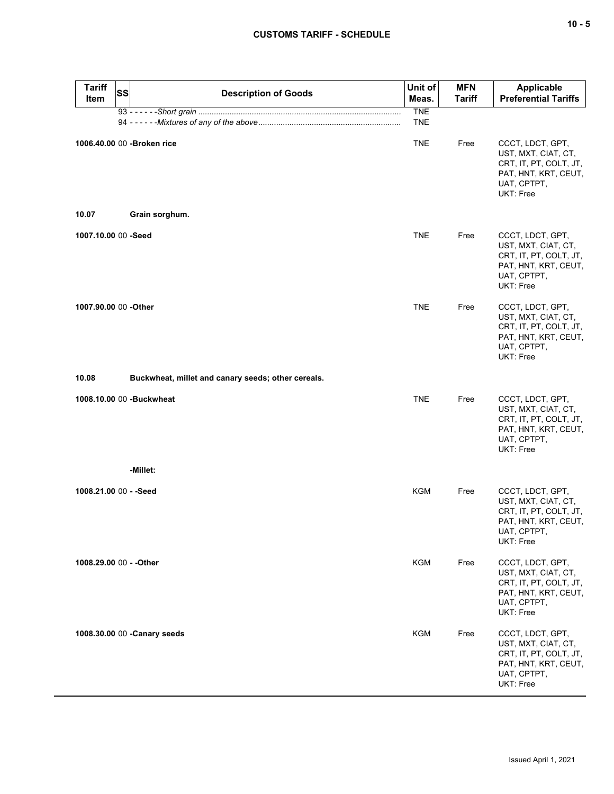| <b>Tariff</b><br><b>SS</b><br><b>Item</b> | <b>Description of Goods</b>                        | Unit of<br>Meas.         | <b>MFN</b><br><b>Tariff</b> | <b>Applicable</b><br><b>Preferential Tariffs</b>                                                                      |
|-------------------------------------------|----------------------------------------------------|--------------------------|-----------------------------|-----------------------------------------------------------------------------------------------------------------------|
|                                           |                                                    | <b>TNE</b><br><b>TNE</b> |                             |                                                                                                                       |
| 1006.40.00 00 - Broken rice               |                                                    | <b>TNE</b>               | Free                        | CCCT, LDCT, GPT,<br>UST, MXT, CIAT, CT,<br>CRT, IT, PT, COLT, JT,<br>PAT, HNT, KRT, CEUT,<br>UAT, CPTPT,<br>UKT: Free |
| 10.07                                     | Grain sorghum.                                     |                          |                             |                                                                                                                       |
| 1007.10.00 00 -Seed                       |                                                    | <b>TNE</b>               | Free                        | CCCT, LDCT, GPT,<br>UST, MXT, CIAT, CT,<br>CRT, IT, PT, COLT, JT,<br>PAT, HNT, KRT, CEUT,<br>UAT, CPTPT,<br>UKT: Free |
| 1007.90.00 00 -Other                      |                                                    | <b>TNE</b>               | Free                        | CCCT, LDCT, GPT,<br>UST, MXT, CIAT, CT,<br>CRT, IT, PT, COLT, JT,<br>PAT, HNT, KRT, CEUT,<br>UAT, CPTPT,<br>UKT: Free |
| 10.08                                     | Buckwheat, millet and canary seeds; other cereals. |                          |                             |                                                                                                                       |
| 1008.10.00 00 -Buckwheat                  |                                                    | <b>TNE</b>               | Free                        | CCCT, LDCT, GPT,<br>UST, MXT, CIAT, CT,<br>CRT, IT, PT, COLT, JT,<br>PAT, HNT, KRT, CEUT,<br>UAT, CPTPT,<br>UKT: Free |
|                                           | -Millet:                                           |                          |                             |                                                                                                                       |
| 1008.21.00 00 - - Seed                    |                                                    | KGM                      | Free                        | CCCT, LDCT, GPT,<br>UST, MXT, CIAT, CT,<br>CRT, IT, PT, COLT, JT,<br>PAT, HNT, KRT, CEUT,<br>UAT, CPTPT,<br>UKT: Free |
| 1008.29.00 00 - - Other                   |                                                    | KGM                      | Free                        | CCCT, LDCT, GPT,<br>UST, MXT, CIAT, CT,<br>CRT, IT, PT, COLT, JT,<br>PAT, HNT, KRT, CEUT,<br>UAT, CPTPT,<br>UKT: Free |
| 1008.30.00 00 - Canary seeds              |                                                    | KGM                      | Free                        | CCCT, LDCT, GPT,<br>UST, MXT, CIAT, CT,<br>CRT, IT, PT, COLT, JT,<br>PAT, HNT, KRT, CEUT,<br>UAT, CPTPT,<br>UKT: Free |